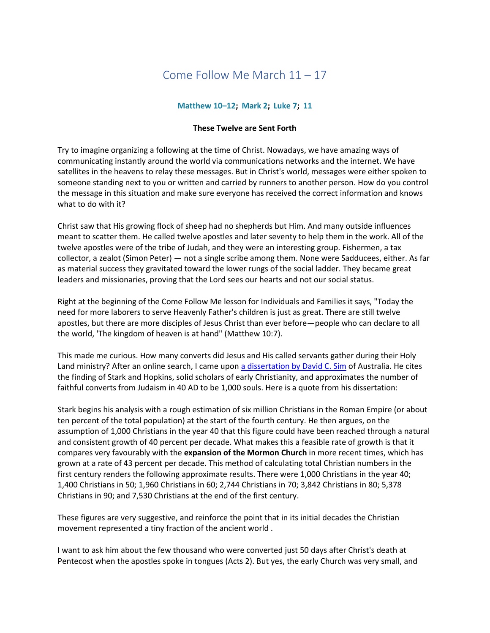# Come Follow Me March 11 – 17

## **[Matthew](https://www.lds.org/study/scriptures/nt/matt/10?lang=eng) 10–12; [Mark](https://www.lds.org/study/scriptures/nt/mark/2?lang=eng) 2; [Luke](https://www.lds.org/study/scriptures/nt/luke/7?lang=eng) 7; [11](https://www.lds.org/study/scriptures/nt/luke/11?lang=eng)**

### **These Twelve are Sent Forth**

Try to imagine organizing a following at the time of Christ. Nowadays, we have amazing ways of communicating instantly around the world via communications networks and the internet. We have satellites in the heavens to relay these messages. But in Christ's world, messages were either spoken to someone standing next to you or written and carried by runners to another person. How do you control the message in this situation and make sure everyone has received the correct information and knows what to do with it?

Christ saw that His growing flock of sheep had no shepherds but Him. And many outside influences meant to scatter them. He called twelve apostles and later seventy to help them in the work. All of the twelve apostles were of the tribe of Judah, and they were an interesting group. Fishermen, a tax collector, a zealot (Simon Peter) — not a single scribe among them. None were Sadducees, either. As far as material success they gravitated toward the lower rungs of the social ladder. They became great leaders and missionaries, proving that the Lord sees our hearts and not our social status.

Right at the beginning of the Come Follow Me lesson for Individuals and Families it says, "Today the need for more laborers to serve Heavenly Father's children is just as great. There are still twelve apostles, but there are more disciples of Jesus Christ than ever before—people who can declare to all the world, 'The kingdom of heaven is at hand" (Matthew 10:7).

This made me curious. How many converts did Jesus and His called servants gather during their Holy Land ministry? After an online search, I came upon [a dissertation by David C. Sim](https://hts.org.za/index.php/hts/article/download/430/329) of Australia. He cites the finding of Stark and Hopkins, solid scholars of early Christianity, and approximates the number of faithful converts from Judaism in 40 AD to be 1,000 souls. Here is a quote from his dissertation:

Stark begins his analysis with a rough estimation of six million Christians in the Roman Empire (or about ten percent of the total population) at the start of the fourth century. He then argues, on the assumption of 1,000 Christians in the year 40 that this figure could have been reached through a natural and consistent growth of 40 percent per decade. What makes this a feasible rate of growth is that it compares very favourably with the **expansion of the Mormon Church** in more recent times, which has grown at a rate of 43 percent per decade. This method of calculating total Christian numbers in the first century renders the following approximate results. There were 1,000 Christians in the year 40; 1,400 Christians in 50; 1,960 Christians in 60; 2,744 Christians in 70; 3,842 Christians in 80; 5,378 Christians in 90; and 7,530 Christians at the end of the first century.

These figures are very suggestive, and reinforce the point that in its initial decades the Christian movement represented a tiny fraction of the ancient world .

I want to ask him about the few thousand who were converted just 50 days after Christ's death at Pentecost when the apostles spoke in tongues (Acts 2). But yes, the early Church was very small, and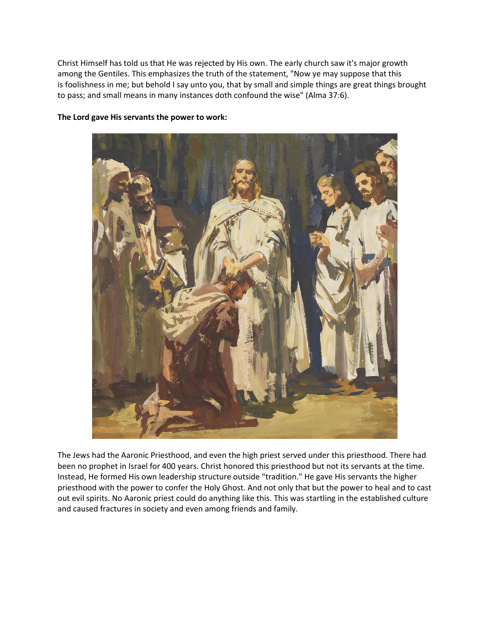Christ Himself has told us that He was rejected by His own. The early church saw it's major growth among the Gentiles. This emphasizes the truth of the statement, "Now ye may suppose that this is foolishness in me; but behold I say unto you, that by small and simple things are great things brought to pass; and small means in many instances doth confound the wise" (Alma 37:6).

#### **The Lord gave His servants the power to work:**



The Jews had the Aaronic Priesthood, and even the high priest served under this priesthood. There had been no prophet in Israel for 400 years. Christ honored this priesthood but not its servants at the time. Instead, He formed His own leadership structure outside "tradition." He gave His servants the higher priesthood with the power to confer the Holy Ghost. And not only that but the power to heal and to cast out evil spirits. No Aaronic priest could do anything like this. This was startling in the established culture and caused fractures in society and even among friends and family.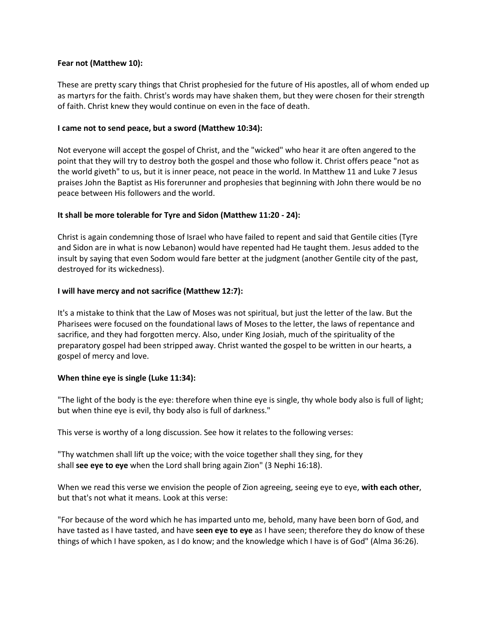## **Fear not (Matthew 10):**

These are pretty scary things that Christ prophesied for the future of His apostles, all of whom ended up as martyrs for the faith. Christ's words may have shaken them, but they were chosen for their strength of faith. Christ knew they would continue on even in the face of death.

## **I came not to send peace, but a sword (Matthew 10:34):**

Not everyone will accept the gospel of Christ, and the "wicked" who hear it are often angered to the point that they will try to destroy both the gospel and those who follow it. Christ offers peace "not as the world giveth" to us, but it is inner peace, not peace in the world. In Matthew 11 and Luke 7 Jesus praises John the Baptist as His forerunner and prophesies that beginning with John there would be no peace between His followers and the world.

## **It shall be more tolerable for Tyre and Sidon (Matthew 11:20 - 24):**

Christ is again condemning those of Israel who have failed to repent and said that Gentile cities (Tyre and Sidon are in what is now Lebanon) would have repented had He taught them. Jesus added to the insult by saying that even Sodom would fare better at the judgment (another Gentile city of the past, destroyed for its wickedness).

### **I will have mercy and not sacrifice (Matthew 12:7):**

It's a mistake to think that the Law of Moses was not spiritual, but just the letter of the law. But the Pharisees were focused on the foundational laws of Moses to the letter, the laws of repentance and sacrifice, and they had forgotten mercy. Also, under King Josiah, much of the spirituality of the preparatory gospel had been stripped away. Christ wanted the gospel to be written in our hearts, a gospel of mercy and love.

#### **When thine eye is single (Luke 11:34):**

"The light of the body is the eye: therefore when thine eye is single, thy whole body also is full of light; but when thine eye is evil, thy body also is full of darkness."

This verse is worthy of a long discussion. See how it relates to the following verses:

"Thy watchmen shall lift up the voice; with the voice together shall they sing, for they shall **see eye to eye** when the Lord shall bring again Zion" (3 Nephi 16:18).

When we read this verse we envision the people of Zion agreeing, seeing eye to eye, **with each other**, but that's not what it means. Look at this verse:

"For because of the word which he has imparted unto me, behold, many have been born of God, and have tasted as I have tasted, and have **seen eye to eye** as I have seen; therefore they do know of these things of which I have spoken, as I do know; and the knowledge which I have is of God" (Alma 36:26).